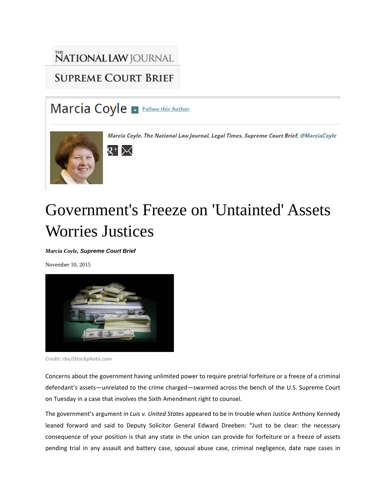## NATIONAL LAW JOURNAL **SUPREME COURT BRIEF**

## Marcia Coyle + Follow this Author



Marcia Coyle, The National Law Journal, Legal Times, Supreme Court Brief, @MarciaCoyle

## $\mathsf{R}^+{\triangleright\!\!\!<}$

## Government's Freeze on 'Untainted' Assets Worries Justices

*Marcia Coyle, Supreme Court Brief*

November 10, 2015



*Credit: rbv/iStockphoto.com*

Concerns about the government having unlimited power to require pretrial forfeiture or a freeze of a criminal defendant's assets—unrelated to the crime charged—swarmed across the bench of the U.S. Supreme Court on Tuesday in a case that involves the Sixth Amendment right to counsel.

The government's argument in *Luis v. United States* appeared to be in trouble when Justice Anthony Kennedy leaned forward and said to Deputy Solicitor General Edward Dreeben: "Just to be clear: the necessary consequence of your position is that any state in the union can provide for forfeiture or a freeze of assets pending trial in any assault and battery case, spousal abuse case, criminal negligence, date rape cases in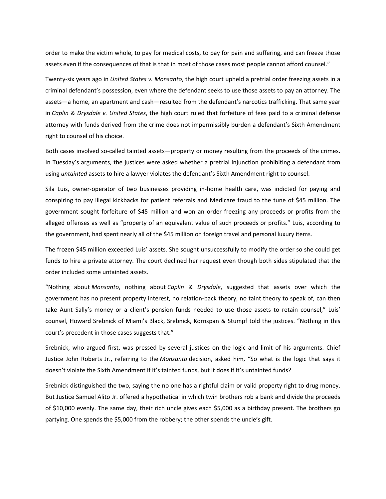order to make the victim whole, to pay for medical costs, to pay for pain and suffering, and can freeze those assets even if the consequences of that is that in most of those cases most people cannot afford counsel."

Twenty‐six years ago in *United States v. Monsanto*, the high court upheld a pretrial order freezing assets in a criminal defendant's possession, even where the defendant seeks to use those assets to pay an attorney. The assets—a home, an apartment and cash—resulted from the defendant's narcotics trafficking. That same year in *Caplin & Drysdale v. United States*, the high court ruled that forfeiture of fees paid to a criminal defense attorney with funds derived from the crime does not impermissibly burden a defendant's Sixth Amendment right to counsel of his choice.

Both cases involved so-called tainted assets—property or money resulting from the proceeds of the crimes. In Tuesday's arguments, the justices were asked whether a pretrial injunction prohibiting a defendant from using *untainted* assets to hire a lawyer violates the defendant's Sixth Amendment right to counsel.

Sila Luis, owner-operator of two businesses providing in-home health care, was indicted for paying and conspiring to pay illegal kickbacks for patient referrals and Medicare fraud to the tune of \$45 million. The government sought forfeiture of \$45 million and won an order freezing any proceeds or profits from the alleged offenses as well as "property of an equivalent value of such proceeds or profits." Luis, according to the government, had spent nearly all of the \$45 million on foreign travel and personal luxury items.

The frozen \$45 million exceeded Luis' assets. She sought unsuccessfully to modify the order so she could get funds to hire a private attorney. The court declined her request even though both sides stipulated that the order included some untainted assets.

"Nothing about *Monsanto*, nothing about *Caplin & Drysdale*, suggested that assets over which the government has no present property interest, no relation‐back theory, no taint theory to speak of, can then take Aunt Sally's money or a client's pension funds needed to use those assets to retain counsel," Luis' counsel, Howard Srebnick of Miami's Black, Srebnick, Kornspan & Stumpf told the justices. "Nothing in this court's precedent in those cases suggests that."

Srebnick, who argued first, was pressed by several justices on the logic and limit of his arguments. Chief Justice John Roberts Jr., referring to the *Monsanto* decision, asked him, "So what is the logic that says it doesn't violate the Sixth Amendment if it's tainted funds, but it does if it's untainted funds?

Srebnick distinguished the two, saying the no one has a rightful claim or valid property right to drug money. But Justice Samuel Alito Jr. offered a hypothetical in which twin brothers rob a bank and divide the proceeds of \$10,000 evenly. The same day, their rich uncle gives each \$5,000 as a birthday present. The brothers go partying. One spends the \$5,000 from the robbery; the other spends the uncle's gift.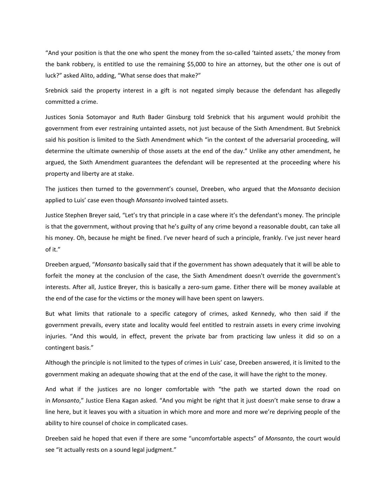"And your position is that the one who spent the money from the so‐called 'tainted assets,' the money from the bank robbery, is entitled to use the remaining \$5,000 to hire an attorney, but the other one is out of luck?" asked Alito, adding, "What sense does that make?"

Srebnick said the property interest in a gift is not negated simply because the defendant has allegedly committed a crime.

Justices Sonia Sotomayor and Ruth Bader Ginsburg told Srebnick that his argument would prohibit the government from ever restraining untainted assets, not just because of the Sixth Amendment. But Srebnick said his position is limited to the Sixth Amendment which "in the context of the adversarial proceeding, will determine the ultimate ownership of those assets at the end of the day." Unlike any other amendment, he argued, the Sixth Amendment guarantees the defendant will be represented at the proceeding where his property and liberty are at stake.

The justices then turned to the government's counsel, Dreeben, who argued that the *Monsanto* decision applied to Luis' case even though *Monsanto* involved tainted assets.

Justice Stephen Breyer said, "Let's try that principle in a case where it's the defendant's money. The principle is that the government, without proving that he's guilty of any crime beyond a reasonable doubt, can take all his money. Oh, because he might be fined. I've never heard of such a principle, frankly. I've just never heard of it."

Dreeben argued, "*Monsanto* basically said that if the government has shown adequately that it will be able to forfeit the money at the conclusion of the case, the Sixth Amendment doesn't override the government's interests. After all, Justice Breyer, this is basically a zero-sum game. Either there will be money available at the end of the case for the victims or the money will have been spent on lawyers.

But what limits that rationale to a specific category of crimes, asked Kennedy, who then said if the government prevails, every state and locality would feel entitled to restrain assets in every crime involving injuries. "And this would, in effect, prevent the private bar from practicing law unless it did so on a contingent basis."

Although the principle is not limited to the types of crimes in Luis' case, Dreeben answered, it is limited to the government making an adequate showing that at the end of the case, it will have the right to the money.

And what if the justices are no longer comfortable with "the path we started down the road on in *Monsanto*," Justice Elena Kagan asked. "And you might be right that it just doesn't make sense to draw a line here, but it leaves you with a situation in which more and more and more we're depriving people of the ability to hire counsel of choice in complicated cases.

Dreeben said he hoped that even if there are some "uncomfortable aspects" of *Monsanto*, the court would see "it actually rests on a sound legal judgment."